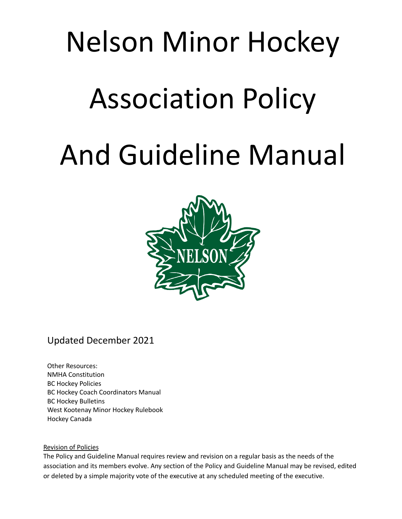# Nelson Minor Hockey Association Policy And Guideline Manual



# Updated December 2021

Other Resources: NMHA Constitution BC Hockey Policies BC Hockey Coach Coordinators Manual BC Hockey Bulletins West Kootenay Minor Hockey Rulebook Hockey Canada

# Revision of Policies

The Policy and Guideline Manual requires review and revision on a regular basis as the needs of the association and its members evolve. Any section of the Policy and Guideline Manual may be revised, edited or deleted by a simple majority vote of the executive at any scheduled meeting of the executive.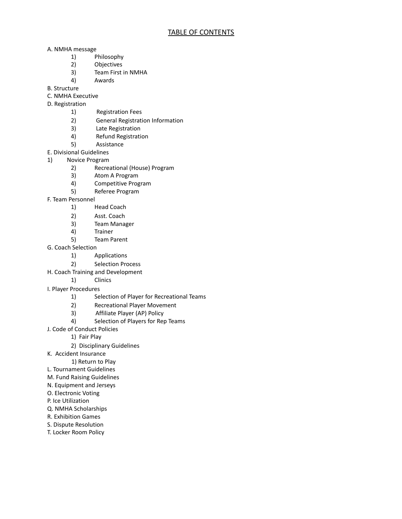- A. NMHA message
	- 1) Philosophy<br>2) Objectives
	- **Objectives**
	- 3) Team First in NMHA
	- 4) Awards
- B. Structure
- C. NMHA Executive
- D. Registration
	- 1) Registration Fees
	- 2) General Registration Information
	- 3) Late Registration
	- 4) Refund Registration
	- 5) Assistance
- E. Divisional Guidelines
- 1) Novice Program
	- 2) Recreational (House) Program
	- 3) Atom A Program
	- 4) Competitive Program
	- 5) Referee Program
- F. Team Personnel
	- 1) Head Coach
	- 2) Asst. Coach
	- 3) Team Manager
	- 4) Trainer
	- 5) Team Parent
- G. Coach Selection
	- 1) Applications
	- 2) Selection Process
- H. Coach Training and Development
	- 1) Clinics
- I. Player Procedures
	- 1) Selection of Player for Recreational Teams
	- 2) Recreational Player Movement
	- 3) Affiliate Player (AP) Policy<br>4) Selection of Players for Rep
	- Selection of Players for Rep Teams
- J. Code of Conduct Policies
	- 1) Fair Play
	- 2) Disciplinary Guidelines
- K. Accident Insurance
	- 1) Return to Play
- L. Tournament Guidelines
- M. Fund Raising Guidelines
- N. Equipment and Jerseys
- O. Electronic Voting
- P. Ice Utilization
- Q. NMHA Scholarships
- R. Exhibition Games
- S. Dispute Resolution
- T. Locker Room Policy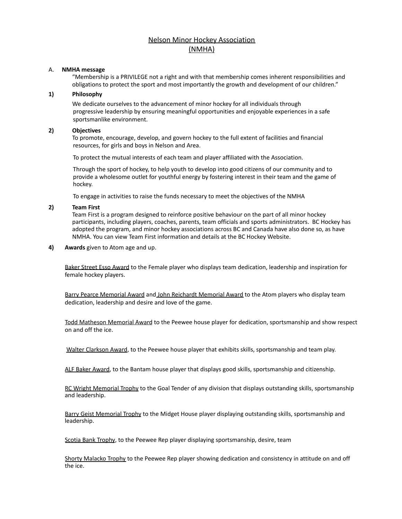# Nelson Minor Hockey Association (NMHA)

#### A. **NMHA message**

"Membership is a PRIVILEGE not a right and with that membership comes inherent responsibilities and obligations to protect the sport and most importantly the growth and development of our children."

# **1) Philosophy**

We dedicate ourselves to the advancement of minor hockey for all individuals through progressive leadership by ensuring meaningful opportunities and enjoyable experiences in a safe sportsmanlike environment.

# **2) Objectives**

To promote, encourage, develop, and govern hockey to the full extent of facilities and financial resources, for girls and boys in Nelson and Area.

To protect the mutual interests of each team and player affiliated with the Association.

Through the sport of hockey, to help youth to develop into good citizens of our community and to provide a wholesome outlet for youthful energy by fostering interest in their team and the game of hockey.

To engage in activities to raise the funds necessary to meet the objectives of the NMHA

# **2) Team First**

Team First is a program designed to reinforce positive behaviour on the part of all minor hockey participants, including players, coaches, parents, team officials and sports administrators. BC Hockey has adopted the program, and minor hockey associations across BC and Canada have also done so, as have NMHA. You can view Team First information and details at the BC Hockey Website.

**4) Awards** given to Atom age and up.

Baker Street Esso Award to the Female player who displays team dedication, leadership and inspiration for female hockey players.

Barry Pearce Memorial Award and John Reichardt Memorial Award to the Atom players who display team dedication, leadership and desire and love of the game.

Todd Matheson Memorial Award to the Peewee house player for dedication, sportsmanship and show respect on and off the ice.

Walter Clarkson Award, to the Peewee house player that exhibits skills, sportsmanship and team play.

ALF Baker Award, to the Bantam house player that displays good skills, sportsmanship and citizenship.

RC Wright Memorial Trophy to the Goal Tender of any division that displays outstanding skills, sportsmanship and leadership.

Barry Geist Memorial Trophy to the Midget House player displaying outstanding skills, sportsmanship and leadership.

Scotia Bank Trophy, to the Peewee Rep player displaying sportsmanship, desire, team

Shorty Malacko Trophy to the Peewee Rep player showing dedication and consistency in attitude on and off the ice.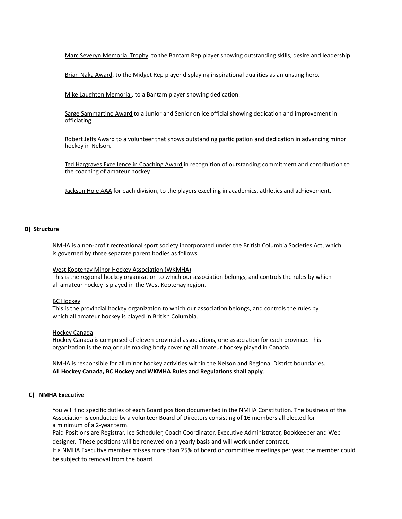Marc Severyn Memorial Trophy, to the Bantam Rep player showing outstanding skills, desire and leadership.

Brian Naka Award, to the Midget Rep player displaying inspirational qualities as an unsung hero.

Mike Laughton Memorial, to a Bantam player showing dedication.

Sarge Sammartino Award to a Junior and Senior on ice official showing dedication and improvement in officiating

Robert Jeffs Award to a volunteer that shows outstanding participation and dedication in advancing minor hockey in Nelson.

Ted Hargraves Excellence in Coaching Award in recognition of outstanding commitment and contribution to the coaching of amateur hockey.

Jackson Hole AAA for each division, to the players excelling in academics, athletics and achievement.

#### **B) Structure**

NMHA is a non-profit recreational sport society incorporated under the British Columbia Societies Act, which is governed by three separate parent bodies as follows.

#### West Kootenay Minor Hockey Association (WKMHA)

This is the regional hockey organization to which our association belongs, and controls the rules by which all amateur hockey is played in the West Kootenay region.

#### BC Hockey

This is the provincial hockey organization to which our association belongs, and controls the rules by which all amateur hockey is played in British Columbia.

#### Hockey Canada

Hockey Canada is composed of eleven provincial associations, one association for each province. This organization is the major rule making body covering all amateur hockey played in Canada.

NMHA is responsible for all minor hockey activities within the Nelson and Regional District boundaries. **All Hockey Canada, BC Hockey and WKMHA Rules and Regulations shall apply**.

#### **C) NMHA Executive**

You will find specific duties of each Board position documented in the NMHA Constitution. The business of the Association is conducted by a volunteer Board of Directors consisting of 16 members all elected for a minimum of a 2-year term.

Paid Positions are Registrar, Ice Scheduler, Coach Coordinator, Executive Administrator, Bookkeeper and Web designer. These positions will be renewed on a yearly basis and will work under contract.

If a NMHA Executive member misses more than 25% of board or committee meetings per year, the member could be subject to removal from the board.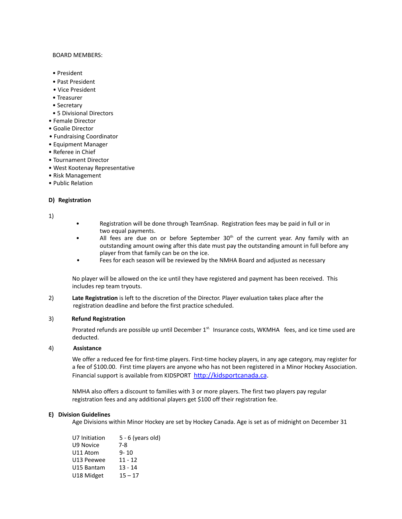#### BOARD MEMBERS:

- President
- Past President
- Vice President
- Treasurer
- Secretary
- 5 Divisional Directors
- Female Director
- Goalie Director
- Fundraising Coordinator
- Equipment Manager
- Referee in Chief
- Tournament Director
- West Kootenay Representative
- Risk Management
- Public Relation

# **D) Registration**

1)

- Registration will be done through TeamSnap. Registration fees may be paid in full or in two equal payments.
- All fees are due on or before September 30<sup>th</sup> of the current year. Any family with an outstanding amount owing after this date must pay the outstanding amount in full before any player from that family can be on the ice.
- Fees for each season will be reviewed by the NMHA Board and adjusted as necessary

No player will be allowed on the ice until they have registered and payment has been received. This includes rep team tryouts.

2) **Late Registration** is left to the discretion of the Director. Player evaluation takes place after the registration deadline and before the first practice scheduled.

#### 3) **Refund Registration**

Prorated refunds are possible up until December 1<sup>st.</sup> Insurance costs, WKMHA fees, and ice time used are deducted.

#### 4) **Assistance**

We offer a reduced fee for first-time players. First-time hockey players, in any age category, may register for a fee of \$100.00. First time players are anyone who has not been registered in a Minor Hockey Association. Financial support is available from KIDSPORT <http://kidsportcanada.ca>.

NMHA also offers a discount to families with 3 or more players. The first two players pay regular registration fees and any additional players get \$100 off their registration fee.

#### **E) Division Guidelines**

Age Divisions within Minor Hockey are set by Hockey Canada. Age is set as of midnight on December 31

| U7 Initiation | $5 - 6$ (years old) |
|---------------|---------------------|
| U9 Novice     | 7-8                 |
| U11 Atom      | $9 - 10$            |
| U13 Peewee    | $11 - 12$           |
| U15 Bantam    | $13 - 14$           |
| U18 Midget    | $15 - 17$           |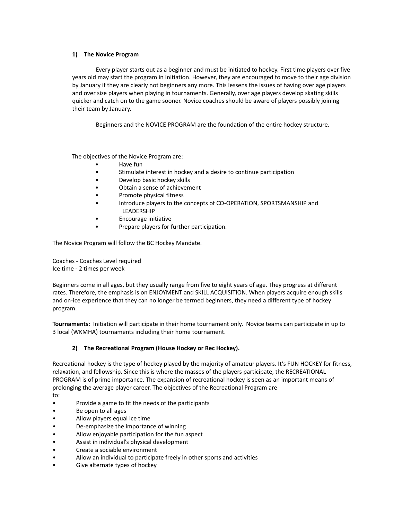# **1) The Novice Program**

Every player starts out as a beginner and must be initiated to hockey. First time players over five years old may start the program in Initiation. However, they are encouraged to move to their age division by January if they are clearly not beginners any more. This lessens the issues of having over age players and over size players when playing in tournaments. Generally, over age players develop skating skills quicker and catch on to the game sooner. Novice coaches should be aware of players possibly joining their team by January.

Beginners and the NOVICE PROGRAM are the foundation of the entire hockey structure.

The objectives of the Novice Program are:

- Have fun
- Stimulate interest in hockey and a desire to continue participation
- Develop basic hockey skills
- Obtain a sense of achievement
- Promote physical fitness
- Introduce players to the concepts of CO-OPERATION, SPORTSMANSHIP and LEADERSHIP
- Encourage initiative
- Prepare players for further participation.

The Novice Program will follow the BC Hockey Mandate.

Coaches - Coaches Level required Ice time - 2 times per week

Beginners come in all ages, but they usually range from five to eight years of age. They progress at different rates. Therefore, the emphasis is on ENJOYMENT and SKILL ACQUISITION. When players acquire enough skills and on-ice experience that they can no longer be termed beginners, they need a different type of hockey program.

**Tournaments:** Initiation will participate in their home tournament only. Novice teams can participate in up to 3 local (WKMHA) tournaments including their home tournament.

# **2) The Recreational Program (House Hockey or Rec Hockey).**

Recreational hockey is the type of hockey played by the majority of amateur players. It's FUN HOCKEY for fitness, relaxation, and fellowship. Since this is where the masses of the players participate, the RECREATIONAL PROGRAM is of prime importance. The expansion of recreational hockey is seen as an important means of prolonging the average player career. The objectives of the Recreational Program are

# to:

- Provide a game to fit the needs of the participants
- Be open to all ages
- Allow players equal ice time
- De-emphasize the importance of winning
- Allow enjoyable participation for the fun aspect
- Assist in individual's physical development
- Create a sociable environment
- Allow an individual to participate freely in other sports and activities
- Give alternate types of hockey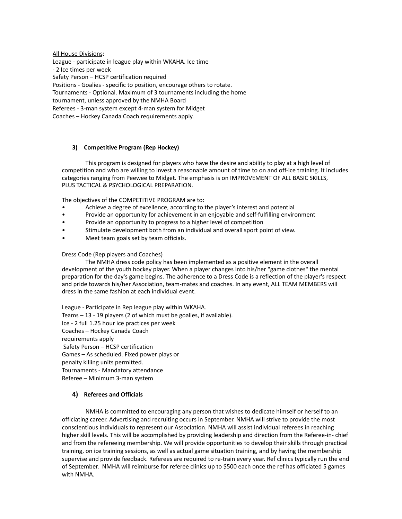All House Divisions: League - participate in league play within WKAHA. Ice time - 2 Ice times per week Safety Person – HCSP certification required Positions - Goalies - specific to position, encourage others to rotate. Tournaments - Optional. Maximum of 3 tournaments including the home tournament, unless approved by the NMHA Board Referees - 3-man system except 4-man system for Midget Coaches – Hockey Canada Coach requirements apply.

# **3) Competitive Program (Rep Hockey)**

This program is designed for players who have the desire and ability to play at a high level of competition and who are willing to invest a reasonable amount of time to on and off-ice training. It includes categories ranging from Peewee to Midget. The emphasis is on IMPROVEMENT OF ALL BASIC SKILLS, PLUS TACTICAL & PSYCHOLOGICAL PREPARATION.

The objectives of the COMPETITIVE PROGRAM are to:

- Achieve a degree of excellence, according to the player's interest and potential
- Provide an opportunity for achievement in an enjoyable and self-fulfilling environment
- Provide an opportunity to progress to a higher level of competition
- Stimulate development both from an individual and overall sport point of view.
- Meet team goals set by team officials.

Dress Code (Rep players and Coaches)

The NMHA dress code policy has been implemented as a positive element in the overall development of the youth hockey player. When a player changes into his/her "game clothes" the mental preparation for the day's game begins. The adherence to a Dress Code is a reflection of the player's respect and pride towards his/her Association, team-mates and coaches. In any event, ALL TEAM MEMBERS will dress in the same fashion at each individual event.

League - Participate in Rep league play within WKAHA. Teams – 13 - 19 players (2 of which must be goalies, if available). Ice - 2 full 1.25 hour ice practices per week Coaches – Hockey Canada Coach requirements apply Safety Person – HCSP certification Games – As scheduled. Fixed power plays or penalty killing units permitted. Tournaments - Mandatory attendance Referee – Minimum 3-man system

# **4) Referees and Officials**

NMHA is committed to encouraging any person that wishes to dedicate himself or herself to an officiating career. Advertising and recruiting occurs in September. NMHA will strive to provide the most conscientious individuals to represent our Association. NMHA will assist individual referees in reaching higher skill levels. This will be accomplished by providing leadership and direction from the Referee-in- chief and from the refereeing membership. We will provide opportunities to develop their skills through practical training, on ice training sessions, as well as actual game situation training, and by having the membership supervise and provide feedback. Referees are required to re-train every year. Ref clinics typically run the end of September. NMHA will reimburse for referee clinics up to \$500 each once the ref has officiated 5 games with NMHA.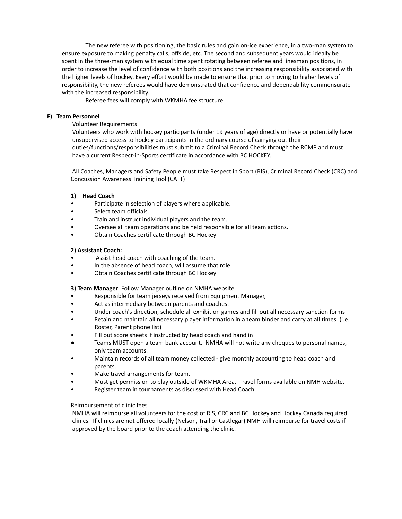The new referee with positioning, the basic rules and gain on-ice experience, in a two-man system to ensure exposure to making penalty calls, offside, etc. The second and subsequent years would ideally be spent in the three-man system with equal time spent rotating between referee and linesman positions, in order to increase the level of confidence with both positions and the increasing responsibility associated with the higher levels of hockey. Every effort would be made to ensure that prior to moving to higher levels of responsibility, the new referees would have demonstrated that confidence and dependability commensurate with the increased responsibility.

Referee fees will comply with WKMHA fee structure.

## **F) Team Personnel**

# Volunteer Requirements

Volunteers who work with hockey participants (under 19 years of age) directly or have or potentially have unsupervised access to hockey participants in the ordinary course of carrying out their duties/functions/responsibilities must submit to a Criminal Record Check through the RCMP and must have a current Respect-in-Sports certificate in accordance with BC HOCKEY.

All Coaches, Managers and Safety People must take Respect in Sport (RIS), Criminal Record Check (CRC) and Concussion Awareness Training Tool (CATT)

# **1) Head Coach**

- Participate in selection of players where applicable.
- Select team officials.
- Train and instruct individual players and the team.
- Oversee all team operations and be held responsible for all team actions.
- Obtain Coaches certificate through BC Hockey

# **2) Assistant Coach:**

- Assist head coach with coaching of the team.
- In the absence of head coach, will assume that role.
- Obtain Coaches certificate through BC Hockey

**3) Team Manager**: Follow Manager outline on NMHA website

- Responsible for team jerseys received from Equipment Manager,
- Act as intermediary between parents and coaches.
- Under coach's direction, schedule all exhibition games and fill out all necessary sanction forms
- Retain and maintain all necessary player information in a team binder and carry at all times. (i.e. Roster, Parent phone list)
- Fill out score sheets if instructed by head coach and hand in
- Teams MUST open a team bank account. NMHA will not write any cheques to personal names, only team accounts.
- Maintain records of all team money collected give monthly accounting to head coach and parents.
- Make travel arrangements for team.
- Must get permission to play outside of WKMHA Area. Travel forms available on NMH website.
- Register team in tournaments as discussed with Head Coach

# Reimbursement of clinic fees

NMHA will reimburse all volunteers for the cost of RIS, CRC and BC Hockey and Hockey Canada required clinics. If clinics are not offered locally (Nelson, Trail or Castlegar) NMH will reimburse for travel costs if approved by the board prior to the coach attending the clinic.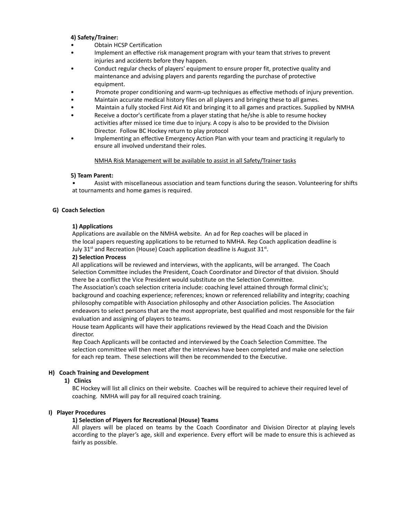## **4) Safety/Trainer:**

- Obtain HCSP Certification
- Implement an effective risk management program with your team that strives to prevent injuries and accidents before they happen.
- Conduct regular checks of players' equipment to ensure proper fit, protective quality and maintenance and advising players and parents regarding the purchase of protective equipment.
- Promote proper conditioning and warm-up techniques as effective methods of injury prevention.
- Maintain accurate medical history files on all players and bringing these to all games.
- Maintain a fully stocked First Aid Kit and bringing it to all games and practices. Supplied by NMHA
- Receive a doctor's certificate from a player stating that he/she is able to resume hockey activities after missed ice time due to injury. A copy is also to be provided to the Division Director. Follow BC Hockey return to play protocol
- Implementing an effective Emergency Action Plan with your team and practicing it regularly to ensure all involved understand their roles.

#### NMHA Risk Management will be available to assist in all Safety/Trainer tasks

#### **5) Team Parent:**

• Assist with miscellaneous association and team functions during the season. Volunteering for shifts at tournaments and home games is required.

# **G) Coach Selection**

# **1) Applications**

Applications are available on the NMHA website. An ad for Rep coaches will be placed in the local papers requesting applications to be returned to NMHA. Rep Coach application deadline is July 31<sup>st</sup> and Recreation (House) Coach application deadline is August 31<sup>st</sup>.

#### **2) Selection Process**

All applications will be reviewed and interviews, with the applicants, will be arranged. The Coach Selection Committee includes the President, Coach Coordinator and Director of that division. Should there be a conflict the Vice President would substitute on the Selection Committee.

The Association's coach selection criteria include: coaching level attained through formal clinic's; background and coaching experience; references; known or referenced reliability and integrity; coaching philosophy compatible with Association philosophy and other Association policies. The Association endeavors to select persons that are the most appropriate, best qualified and most responsible for the fair evaluation and assigning of players to teams.

House team Applicants will have their applications reviewed by the Head Coach and the Division director.

Rep Coach Applicants will be contacted and interviewed by the Coach Selection Committee. The selection committee will then meet after the interviews have been completed and make one selection for each rep team. These selections will then be recommended to the Executive.

# **H) Coach Training and Development**

#### **1) Clinics**

BC Hockey will list all clinics on their website. Coaches will be required to achieve their required level of coaching. NMHA will pay for all required coach training.

#### **I) Player Procedures**

#### **1) Selection of Players for Recreational (House) Teams**

All players will be placed on teams by the Coach Coordinator and Division Director at playing levels according to the player's age, skill and experience. Every effort will be made to ensure this is achieved as fairly as possible.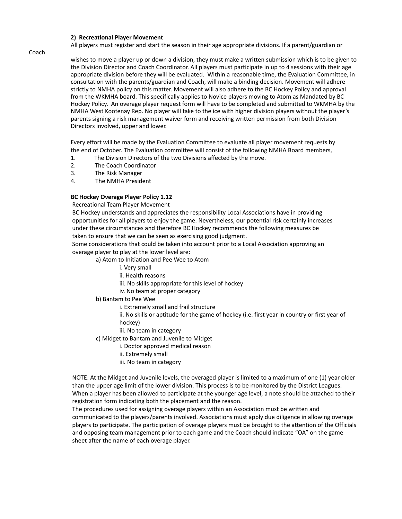## **2) Recreational Player Movement**

All players must register and start the season in their age appropriate divisions. If a parent/guardian or

wishes to move a player up or down a division, they must make a written submission which is to be given to the Division Director and Coach Coordinator. All players must participate in up to 4 sessions with their age appropriate division before they will be evaluated. Within a reasonable time, the Evaluation Committee, in consultation with the parents/guardian and Coach, will make a binding decision. Movement will adhere strictly to NMHA policy on this matter. Movement will also adhere to the BC Hockey Policy and approval from the WKMHA board. This specifically applies to Novice players moving to Atom as Mandated by BC Hockey Policy. An overage player request form will have to be completed and submitted to WKMHA by the NMHA West Kootenay Rep. No player will take to the ice with higher division players without the player's parents signing a risk management waiver form and receiving written permission from both Division Directors involved, upper and lower.

Every effort will be made by the Evaluation Committee to evaluate all player movement requests by the end of October. The Evaluation committee will consist of the following NMHA Board members,

- 1. The Division Directors of the two Divisions affected by the move.
- 2. The Coach Coordinator
- 3. The Risk Manager
- 4. The NMHA President

# **BC Hockey Overage Player Policy 1.12**

Recreational Team Player Movement

BC Hockey understands and appreciates the responsibility Local Associations have in providing opportunities for all players to enjoy the game. Nevertheless, our potential risk certainly increases under these circumstances and therefore BC Hockey recommends the following measures be taken to ensure that we can be seen as exercising good judgment.

Some considerations that could be taken into account prior to a Local Association approving an overage player to play at the lower level are:

a) Atom to Initiation and Pee Wee to Atom

- i. Very small
- ii. Health reasons
- iii. No skills appropriate for this level of hockey
- iv. No team at proper category

b) Bantam to Pee Wee

i. Extremely small and frail structure

ii. No skills or aptitude for the game of hockey (i.e. first year in country or first year of hockey)

- iii. No team in category
- c) Midget to Bantam and Juvenile to Midget
	- i. Doctor approved medical reason
	- ii. Extremely small
	- iii. No team in category

NOTE: At the Midget and Juvenile levels, the overaged player is limited to a maximum of one (1) year older than the upper age limit of the lower division. This process is to be monitored by the District Leagues. When a player has been allowed to participate at the younger age level, a note should be attached to their registration form indicating both the placement and the reason.

The procedures used for assigning overage players within an Association must be written and communicated to the players/parents involved. Associations must apply due diligence in allowing overage players to participate. The participation of overage players must be brought to the attention of the Officials and opposing team management prior to each game and the Coach should indicate "OA" on the game sheet after the name of each overage player.

Coach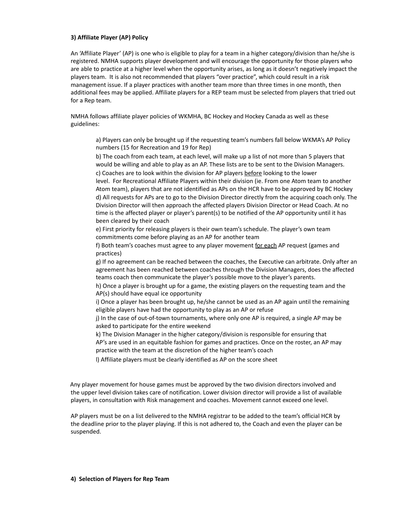# **3) Affiliate Player (AP) Policy**

An 'Affiliate Player' (AP) is one who is eligible to play for a team in a higher category/division than he/she is registered. NMHA supports player development and will encourage the opportunity for those players who are able to practice at a higher level when the opportunity arises, as long as it doesn't negatively impact the players team. It is also not recommended that players "over practice", which could result in a risk management issue. If a player practices with another team more than three times in one month, then additional fees may be applied. Affiliate players for a REP team must be selected from players that tried out for a Rep team.

NMHA follows affiliate player policies of WKMHA, BC Hockey and Hockey Canada as well as these guidelines:

a) Players can only be brought up if the requesting team's numbers fall below WKMA's AP Policy numbers (15 for Recreation and 19 for Rep)

b) The coach from each team, at each level, will make up a list of not more than 5 players that would be willing and able to play as an AP. These lists are to be sent to the Division Managers. c) Coaches are to look within the division for AP players before looking to the lower

level. For Recreational Affiliate Players within their division (ie. From one Atom team to another Atom team), players that are not identified as APs on the HCR have to be approved by BC Hockey d) All requests for APs are to go to the Division Director directly from the acquiring coach only. The Division Director will then approach the affected players Division Director or Head Coach. At no time is the affected player or player's parent(s) to be notified of the AP opportunity until it has been cleared by their coach

e) First priority for releasing players is their own team's schedule. The player's own team commitments come before playing as an AP for another team

f) Both team's coaches must agree to any player movement for each AP request (games and practices)

g) If no agreement can be reached between the coaches, the Executive can arbitrate. Only after an agreement has been reached between coaches through the Division Managers, does the affected teams coach then communicate the player's possible move to the player's parents.

h) Once a player is brought up for a game, the existing players on the requesting team and the AP(s) should have equal ice opportunity

i) Once a player has been brought up, he/she cannot be used as an AP again until the remaining eligible players have had the opportunity to play as an AP or refuse

j) In the case of out-of-town tournaments, where only one AP is required, a single AP may be asked to participate for the entire weekend

k) The Division Manager in the higher category/division is responsible for ensuring that AP's are used in an equitable fashion for games and practices. Once on the roster, an AP may practice with the team at the discretion of the higher team's coach

l) Affiliate players must be clearly identified as AP on the score sheet

Any player movement for house games must be approved by the two division directors involved and the upper level division takes care of notification. Lower division director will provide a list of available players, in consultation with Risk management and coaches. Movement cannot exceed one level.

AP players must be on a list delivered to the NMHA registrar to be added to the team's official HCR by the deadline prior to the player playing. If this is not adhered to, the Coach and even the player can be suspended.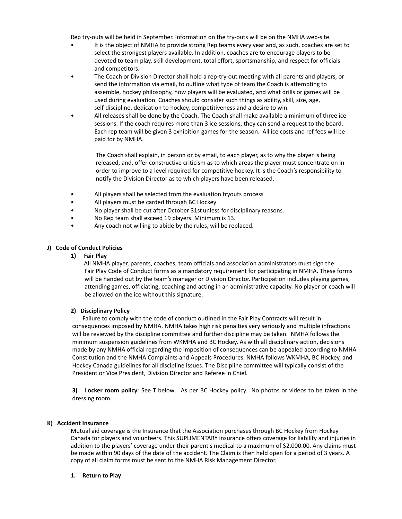Rep try-outs will be held in September. Information on the try-outs will be on the NMHA web-site.

- It is the object of NMHA to provide strong Rep teams every year and, as such, coaches are set to select the strongest players available. In addition, coaches are to encourage players to be devoted to team play, skill development, total effort, sportsmanship, and respect for officials and competitors.
- The Coach or Division Director shall hold a rep-try-out meeting with all parents and players, or send the information via email, to outline what type of team the Coach is attempting to assemble, hockey philosophy, how players will be evaluated, and what drills or games will be used during evaluation. Coaches should consider such things as ability, skill, size, age, self-discipline, dedication to hockey, competitiveness and a desire to win.
- All releases shall be done by the Coach. The Coach shall make available a minimum of three ice sessions. If the coach requires more than 3 ice sessions, they can send a request to the board. Each rep team will be given 3 exhibition games for the season. All ice costs and ref fees will be paid for by NMHA.

The Coach shall explain, in person or by email, to each player, as to why the player is being released, and, offer constructive criticism as to which areas the player must concentrate on in order to improve to a level required for competitive hockey. It is the Coach's responsibility to notify the Division Director as to which players have been released.

- All players shall be selected from the evaluation tryouts process
- All players must be carded through BC Hockey
- No player shall be cut after October 31st unless for disciplinary reasons.
- No Rep team shall exceed 19 players. Minimum is 13.
- Any coach not willing to abide by the rules, will be replaced.

# **J) Code of Conduct Policies**

# **1) Fair Play**

All NMHA player, parents, coaches, team officials and association administrators must sign the Fair Play Code of Conduct forms as a mandatory requirement for participating in NMHA. These forms will be handed out by the team's manager or Division Director. Participation includes playing games, attending games, officiating, coaching and acting in an administrative capacity. No player or coach will be allowed on the ice without this signature.

# **2) Disciplinary Policy**

Failure to comply with the code of conduct outlined in the Fair Play Contracts will result in consequences imposed by NMHA. NMHA takes high risk penalties very seriously and multiple infractions will be reviewed by the discipline committee and further discipline may be taken. NMHA follows the minimum suspension guidelines from WKMHA and BC Hockey. As with all disciplinary action, decisions made by any NMHA official regarding the imposition of consequences can be appealed according to NMHA Constitution and the NMHA Complaints and Appeals Procedures. NMHA follows WKMHA, BC Hockey, and Hockey Canada guidelines for all discipline issues. The Discipline committee will typically consist of the President or Vice President, Division Director and Referee in Chief.

**3) Locker room policy**: See T below. As per BC Hockey policy. No photos or videos to be taken in the dressing room.

#### **K) Accident Insurance**

Mutual aid coverage is the Insurance that the Association purchases through BC Hockey from Hockey Canada for players and volunteers. This SUPLIMENTARY insurance offers coverage for liability and injuries in addition to the players' coverage under their parent's medical to a maximum of \$2,000.00. Any claims must be made within 90 days of the date of the accident. The Claim is then held open for a period of 3 years. A copy of all claim forms must be sent to the NMHA Risk Management Director.

#### **1. Return to Play**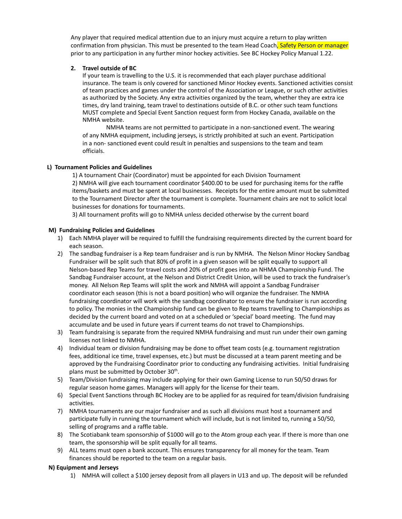Any player that required medical attention due to an injury must acquire a return to play written confirmation from physician. This must be presented to the team Head Coach, Safety Person or manager prior to any participation in any further minor hockey activities. See BC Hockey Policy Manual 1.22.

# **2. Travel outside of BC**

If your team is travelling to the U.S. it is recommended that each player purchase additional insurance. The team is only covered for sanctioned Minor Hockey events. Sanctioned activities consist of team practices and games under the control of the Association or League, or such other activities as authorized by the Society. Any extra activities organized by the team, whether they are extra ice times, dry land training, team travel to destinations outside of B.C. or other such team functions MUST complete and Special Event Sanction request form from Hockey Canada, available on the NMHA website.

NMHA teams are not permitted to participate in a non-sanctioned event. The wearing of any NMHA equipment, including jerseys, is strictly prohibited at such an event. Participation in a non- sanctioned event could result in penalties and suspensions to the team and team officials.

# **L) Tournament Policies and Guidelines**

1) A tournament Chair (Coordinator) must be appointed for each Division Tournament 2) NMHA will give each tournament coordinator \$400.00 to be used for purchasing items for the raffle items/baskets and must be spent at local businesses. Receipts for the entire amount must be submitted to the Tournament Director after the tournament is complete. Tournament chairs are not to solicit local businesses for donations for tournaments.

3) All tournament profits will go to NMHA unless decided otherwise by the current board

# **M) Fundraising Policies and Guidelines**

- 1) Each NMHA player will be required to fulfill the fundraising requirements directed by the current board for each season.
- 2) The sandbag fundraiser is a Rep team fundraiser and is run by NMHA. The Nelson Minor Hockey Sandbag Fundraiser will be split such that 80% of profit in a given season will be split equally to support all Nelson-based Rep Teams for travel costs and 20% of profit goes into an NHMA Championship Fund. The Sandbag Fundraiser account, at the Nelson and District Credit Union, will be used to track the fundraiser's money. All Nelson Rep Teams will split the work and NMHA will appoint a Sandbag Fundraiser coordinator each season (this is not a board position) who will organize the fundraiser. The NMHA fundraising coordinator will work with the sandbag coordinator to ensure the fundraiser is run according to policy. The monies in the Championship fund can be given to Rep teams travelling to Championships as decided by the current board and voted on at a scheduled or 'special' board meeting. The fund may accumulate and be used in future years if current teams do not travel to Championships.
- 3) Team fundraising is separate from the required NMHA fundraising and must run under their own gaming licenses not linked to NMHA.
- 4) Individual team or division fundraising may be done to offset team costs (e.g. tournament registration fees, additional ice time, travel expenses, etc.) but must be discussed at a team parent meeting and be approved by the Fundraising Coordinator prior to conducting any fundraising activities. Initial fundraising plans must be submitted by October 30<sup>th</sup>.
- 5) Team/Division fundraising may include applying for their own Gaming License to run 50/50 draws for regular season home games. Managers will apply for the license for their team.
- 6) Special Event Sanctions through BC Hockey are to be applied for as required for team/division fundraising activities.
- 7) NMHA tournaments are our major fundraiser and as such all divisions must host a tournament and participate fully in running the tournament which will include, but is not limited to, running a 50/50, selling of programs and a raffle table.
- 8) The Scotiabank team sponsorship of \$1000 will go to the Atom group each year. If there is more than one team, the sponsorship will be split equally for all teams.
- 9) ALL teams must open a bank account. This ensures transparency for all money for the team. Team finances should be reported to the team on a regular basis.

# **N) Equipment and Jerseys**

1) NMHA will collect a \$100 jersey deposit from all players in U13 and up. The deposit will be refunded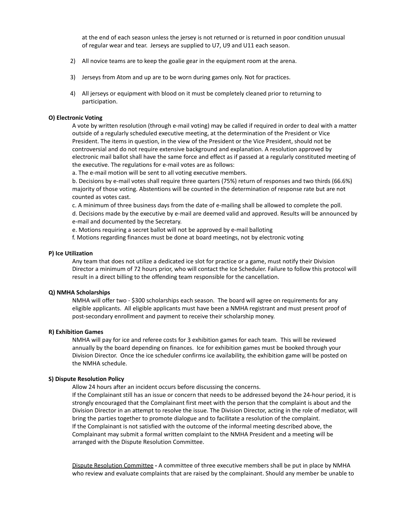at the end of each season unless the jersey is not returned or is returned in poor condition unusual of regular wear and tear. Jerseys are supplied to U7, U9 and U11 each season.

- 2) All novice teams are to keep the goalie gear in the equipment room at the arena.
- 3) Jerseys from Atom and up are to be worn during games only. Not for practices.
- 4) All jerseys or equipment with blood on it must be completely cleaned prior to returning to participation.

#### **O) Electronic Voting**

A vote by written resolution (through e-mail voting) may be called if required in order to deal with a matter outside of a regularly scheduled executive meeting, at the determination of the President or Vice President. The items in question, in the view of the President or the Vice President, should not be controversial and do not require extensive background and explanation. A resolution approved by electronic mail ballot shall have the same force and effect as if passed at a regularly constituted meeting of the executive. The regulations for e-mail votes are as follows:

a. The e-mail motion will be sent to all voting executive members.

b. Decisions by e-mail votes shall require three quarters (75%) return of responses and two thirds (66.6%) majority of those voting. Abstentions will be counted in the determination of response rate but are not counted as votes cast.

c. A minimum of three business days from the date of e-mailing shall be allowed to complete the poll.

d. Decisions made by the executive by e-mail are deemed valid and approved. Results will be announced by e-mail and documented by the Secretary.

- e. Motions requiring a secret ballot will not be approved by e-mail balloting
- f. Motions regarding finances must be done at board meetings, not by electronic voting

#### **P) Ice Utilization**

Any team that does not utilize a dedicated ice slot for practice or a game, must notify their Division Director a minimum of 72 hours prior, who will contact the Ice Scheduler. Failure to follow this protocol will result in a direct billing to the offending team responsible for the cancellation.

#### **Q) NMHA Scholarships**

NMHA will offer two - \$300 scholarships each season. The board will agree on requirements for any eligible applicants. All eligible applicants must have been a NMHA registrant and must present proof of post-secondary enrollment and payment to receive their scholarship money.

#### **R) Exhibition Games**

NMHA will pay for ice and referee costs for 3 exhibition games for each team. This will be reviewed annually by the board depending on finances. Ice for exhibition games must be booked through your Division Director. Once the ice scheduler confirms ice availability, the exhibition game will be posted on the NMHA schedule.

#### **S) Dispute Resolution Policy**

Allow 24 hours after an incident occurs before discussing the concerns.

If the Complainant still has an issue or concern that needs to be addressed beyond the 24-hour period, it is strongly encouraged that the Complainant first meet with the person that the complaint is about and the Division Director in an attempt to resolve the issue. The Division Director, acting in the role of mediator, will bring the parties together to promote dialogue and to facilitate a resolution of the complaint. If the Complainant is not satisfied with the outcome of the informal meeting described above, the Complainant may submit a formal written complaint to the NMHA President and a meeting will be arranged with the Dispute Resolution Committee.

Dispute Resolution Committee **-** A committee of three executive members shall be put in place by NMHA who review and evaluate complaints that are raised by the complainant. Should any member be unable to